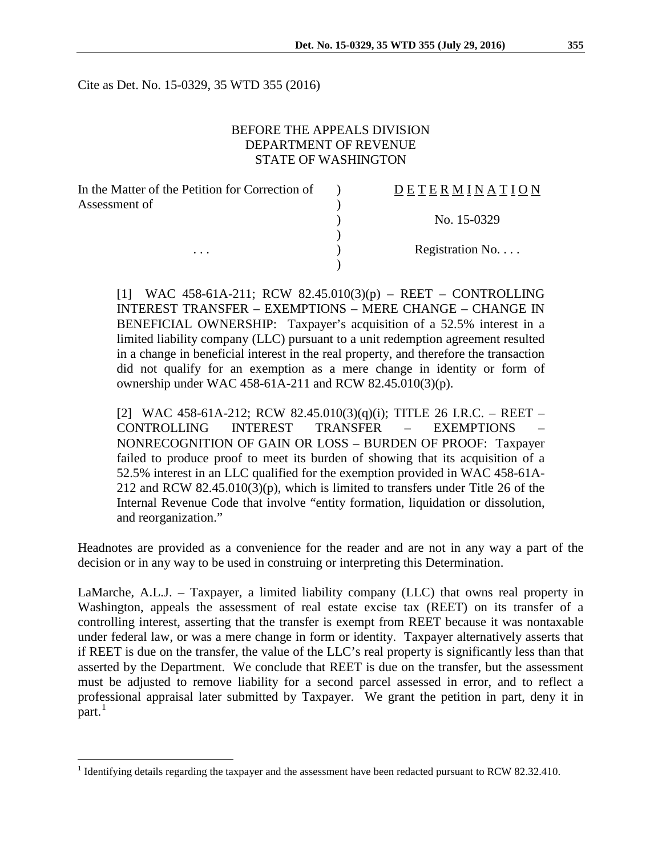Cite as Det. No. 15-0329, 35 WTD 355 (2016)

## BEFORE THE APPEALS DIVISION DEPARTMENT OF REVENUE STATE OF WASHINGTON

| In the Matter of the Petition for Correction of | DETERMINATION   |
|-------------------------------------------------|-----------------|
| Assessment of                                   |                 |
|                                                 | No. 15-0329     |
|                                                 |                 |
| $\cdots$                                        | Registration No |
|                                                 |                 |

[1] WAC 458-61A-211; RCW 82.45.010(3)(p) – REET – CONTROLLING INTEREST TRANSFER – EXEMPTIONS – MERE CHANGE – CHANGE IN BENEFICIAL OWNERSHIP: Taxpayer's acquisition of a 52.5% interest in a limited liability company (LLC) pursuant to a unit redemption agreement resulted in a change in beneficial interest in the real property, and therefore the transaction did not qualify for an exemption as a mere change in identity or form of ownership under WAC 458-61A-211 and RCW 82.45.010(3)(p).

[2] WAC 458-61A-212; RCW 82.45.010(3)(q)(i); TITLE 26 I.R.C. – REET – CONTROLLING INTEREST TRANSFER – EXEMPTIONS – NONRECOGNITION OF GAIN OR LOSS – BURDEN OF PROOF: Taxpayer failed to produce proof to meet its burden of showing that its acquisition of a 52.5% interest in an LLC qualified for the exemption provided in WAC 458-61A-212 and RCW 82.45.010(3)(p), which is limited to transfers under Title 26 of the Internal Revenue Code that involve "entity formation, liquidation or dissolution, and reorganization."

Headnotes are provided as a convenience for the reader and are not in any way a part of the decision or in any way to be used in construing or interpreting this Determination.

LaMarche, A.L.J. – Taxpayer, a limited liability company (LLC) that owns real property in Washington, appeals the assessment of real estate excise tax (REET) on its transfer of a controlling interest, asserting that the transfer is exempt from REET because it was nontaxable under federal law, or was a mere change in form or identity. Taxpayer alternatively asserts that if REET is due on the transfer, the value of the LLC's real property is significantly less than that asserted by the Department. We conclude that REET is due on the transfer, but the assessment must be adjusted to remove liability for a second parcel assessed in error, and to reflect a professional appraisal later submitted by Taxpayer. We grant the petition in part, deny it in part.<sup>[1](#page-0-0)</sup>

<span id="page-0-0"></span><sup>&</sup>lt;sup>1</sup> Identifying details regarding the taxpayer and the assessment have been redacted pursuant to RCW 82.32.410.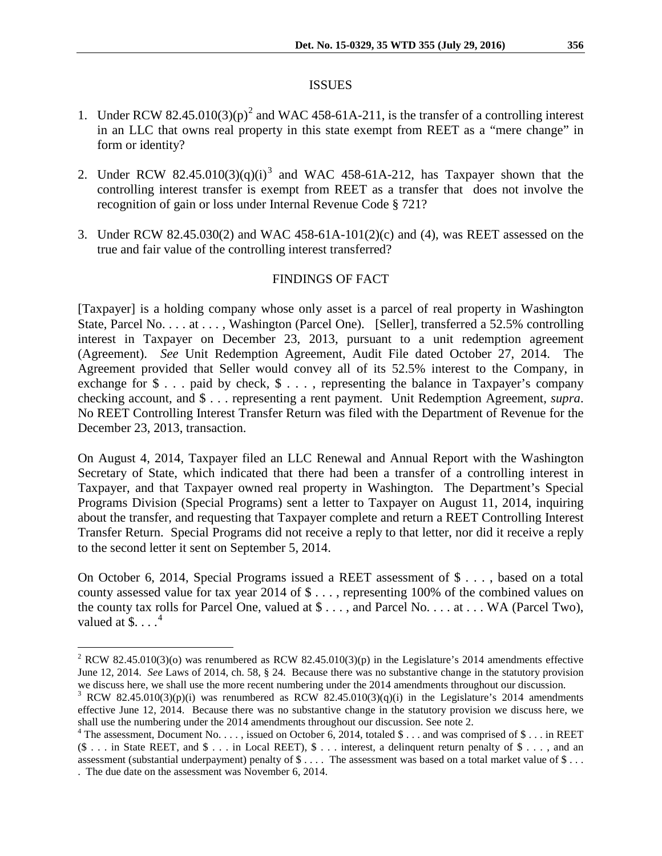#### ISSUES

- 1. Under RCW 8[2](#page-1-0).45.010(3)(p)<sup>2</sup> and WAC 458-61A-211, is the transfer of a controlling interest in an LLC that owns real property in this state exempt from REET as a "mere change" in form or identity?
- 2. Under RCW 82.45.010([3](#page-1-1))(q)(i)<sup>3</sup> and WAC 458-61A-212, has Taxpayer shown that the controlling interest transfer is exempt from REET as a transfer that does not involve the recognition of gain or loss under Internal Revenue Code § 721?
- 3. Under RCW 82.45.030(2) and WAC 458-61A-101(2)(c) and (4), was REET assessed on the true and fair value of the controlling interest transferred?

## FINDINGS OF FACT

[Taxpayer] is a holding company whose only asset is a parcel of real property in Washington State, Parcel No. . . . at . . . , Washington (Parcel One). [Seller], transferred a 52.5% controlling interest in Taxpayer on December 23, 2013, pursuant to a unit redemption agreement (Agreement). *See* Unit Redemption Agreement, Audit File dated October 27, 2014. The Agreement provided that Seller would convey all of its 52.5% interest to the Company, in exchange for  $\$ \dots$  paid by check,  $\$ \dots$ , representing the balance in Taxpayer's company checking account, and \$ . . . representing a rent payment. Unit Redemption Agreement, *supra*. No REET Controlling Interest Transfer Return was filed with the Department of Revenue for the December 23, 2013, transaction.

On August 4, 2014, Taxpayer filed an LLC Renewal and Annual Report with the Washington Secretary of State, which indicated that there had been a transfer of a controlling interest in Taxpayer, and that Taxpayer owned real property in Washington. The Department's Special Programs Division (Special Programs) sent a letter to Taxpayer on August 11, 2014, inquiring about the transfer, and requesting that Taxpayer complete and return a REET Controlling Interest Transfer Return. Special Programs did not receive a reply to that letter, nor did it receive a reply to the second letter it sent on September 5, 2014.

On October 6, 2014, Special Programs issued a REET assessment of \$ . . . , based on a total county assessed value for tax year 2014 of \$ . . . , representing 100% of the combined values on the county tax rolls for Parcel One, valued at \$ . . . , and Parcel No. . . . at . . . WA (Parcel Two), valued at  $\$\dots^4$  $\$\dots^4$ 

<span id="page-1-0"></span><sup>&</sup>lt;sup>2</sup> RCW 82.45.010(3)(o) was renumbered as RCW 82.45.010(3)(p) in the Legislature's 2014 amendments effective June 12, 2014. *See* Laws of 2014, ch. 58, § 24. Because there was no substantive change in the statutory provision we discuss here, we shall use the more recent numbering under the 2014 amendments throughout our discussion.

<span id="page-1-1"></span><sup>&</sup>lt;sup>3</sup> RCW 82.45.010(3)(p)(i) was renumbered as RCW 82.45.010(3)(q)(i) in the Legislature's 2014 amendments effective June 12, 2014. Because there was no substantive change in the statutory provision we discuss here, we shall use the numbering under the 2014 amendments throughout our discussion. See note 2.

<span id="page-1-2"></span> $4$  The assessment, Document No. . . . , issued on October 6, 2014, totaled \$ . . . and was comprised of \$ . . . in REET (\$ . . . in State REET, and \$ . . . in Local REET), \$ . . . interest, a delinquent return penalty of \$ . . . , and an assessment (substantial underpayment) penalty of \$ . . . . The assessment was based on a total market value of \$ . . . . The due date on the assessment was November 6, 2014.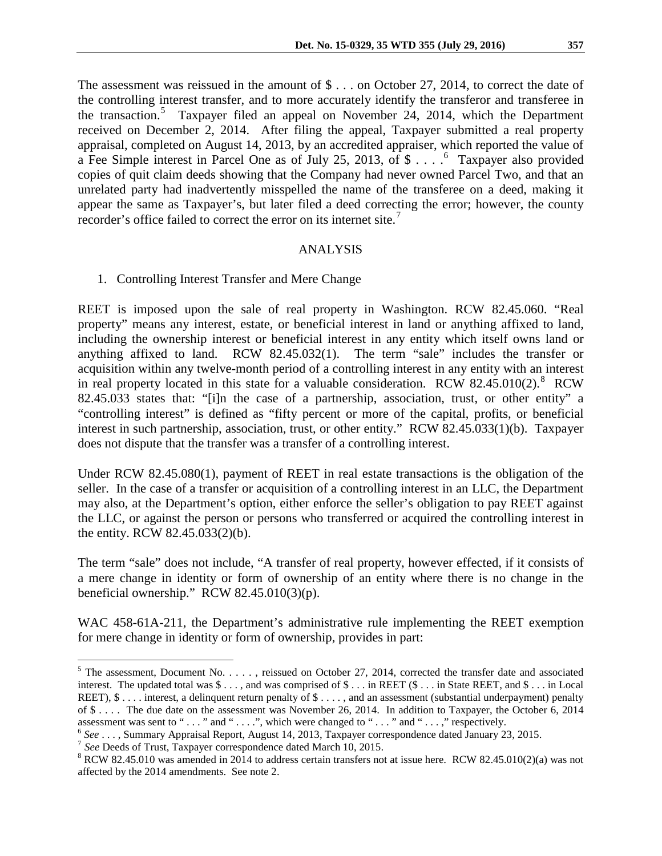The assessment was reissued in the amount of  $\text{\$} \dots$  on October 27, 2014, to correct the date of the controlling interest transfer, and to more accurately identify the transferor and transferee in the transaction.<sup>[5](#page-2-0)</sup> Taxpayer filed an appeal on November 24, 2014, which the Department received on December 2, 2014. After filing the appeal, Taxpayer submitted a real property appraisal, completed on August 14, 2013, by an accredited appraiser, which reported the value of a Fee Simple interest in Parcel One as of July 25, 2013, of \$ . . . .<sup>[6](#page-2-1)</sup> Taxpayer also provided copies of quit claim deeds showing that the Company had never owned Parcel Two, and that an unrelated party had inadvertently misspelled the name of the transferee on a deed, making it appear the same as Taxpayer's, but later filed a deed correcting the error; however, the county recorder's office failed to correct the error on its internet site.<sup>[7](#page-2-2)</sup>

#### ANALYSIS

## 1. Controlling Interest Transfer and Mere Change

REET is imposed upon the sale of real property in Washington. RCW 82.45.060. "Real property" means any interest, estate, or beneficial interest in land or anything affixed to land, including the ownership interest or beneficial interest in any entity which itself owns land or anything affixed to land. RCW 82.45.032(1). The term "sale" includes the transfer or acquisition within any twelve-month period of a controlling interest in any entity with an interest in real property located in this state for a valuable consideration. RCW [8](#page-2-3)2.45.010(2). RCW 82.45.033 states that: "[i]n the case of a partnership, association, trust, or other entity" a "controlling interest" is defined as "fifty percent or more of the capital, profits, or beneficial interest in such partnership, association, trust, or other entity." RCW 82.45.033(1)(b). Taxpayer does not dispute that the transfer was a transfer of a controlling interest.

Under RCW 82.45.080(1), payment of REET in real estate transactions is the obligation of the seller. In the case of a transfer or acquisition of a controlling interest in an LLC, the Department may also, at the Department's option, either enforce the seller's obligation to pay REET against the LLC, or against the person or persons who transferred or acquired the controlling interest in the entity. RCW 82.45.033(2)(b).

The term "sale" does not include, "A transfer of real property, however effected, if it consists of a mere change in identity or form of ownership of an entity where there is no change in the beneficial ownership." RCW 82.45.010(3)(p).

WAC 458-61A-211, the Department's administrative rule implementing the REET exemption for mere change in identity or form of ownership, provides in part:

<span id="page-2-0"></span> $5$  The assessment, Document No. . . . . , reissued on October 27, 2014, corrected the transfer date and associated interest. The updated total was \$ . . . , and was comprised of \$ . . . in REET (\$ . . . in State REET, and \$ . . . in Local REET),  $\$\dots$  interest, a delinquent return penalty of  $\$\dots$ , and an assessment (substantial underpayment) penalty of \$.... The due date on the assessment was November 26, 2014. In addition to Taxpayer, the October 6, 2014 assessment was sent to "..." and "....", which were changed to "..." and "...," respectively.

<span id="page-2-2"></span><span id="page-2-1"></span><sup>&</sup>lt;sup>6</sup> See ..., Summary Appraisal Report, August 14, 2013, Taxpayer correspondence dated January 23, 2015.<br><sup>7</sup> See Deeds of Trust, Taxpayer correspondence dated March 10, 2015.<br><sup>8</sup> RCW 82.45.010 was amended in 2014 to addres

<span id="page-2-3"></span>affected by the 2014 amendments. See note 2.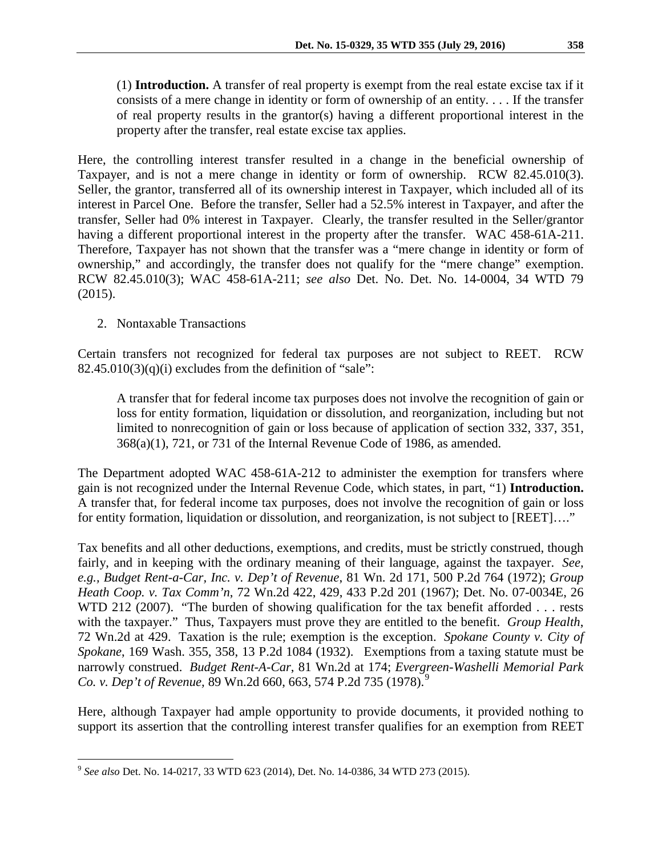(1) **Introduction.** A transfer of real property is exempt from the real estate excise tax if it consists of a mere change in identity or form of ownership of an entity. . . . If the transfer of real property results in the grantor(s) having a different proportional interest in the property after the transfer, real estate excise tax applies.

Here, the controlling interest transfer resulted in a change in the beneficial ownership of Taxpayer, and is not a mere change in identity or form of ownership. RCW 82.45.010(3). Seller, the grantor, transferred all of its ownership interest in Taxpayer, which included all of its interest in Parcel One. Before the transfer, Seller had a 52.5% interest in Taxpayer, and after the transfer, Seller had 0% interest in Taxpayer. Clearly, the transfer resulted in the Seller/grantor having a different proportional interest in the property after the transfer. WAC 458-61A-211. Therefore, Taxpayer has not shown that the transfer was a "mere change in identity or form of ownership," and accordingly, the transfer does not qualify for the "mere change" exemption. RCW 82.45.010(3); WAC 458-61A-211; *see also* Det. No. Det. No. 14-0004, 34 WTD 79 (2015).

# 2. Nontaxable Transactions

Certain transfers not recognized for federal tax purposes are not subject to REET. RCW  $82.45.010(3)(q)(i)$  excludes from the definition of "sale":

A transfer that for federal income tax purposes does not involve the recognition of gain or loss for entity formation, liquidation or dissolution, and reorganization, including but not limited to nonrecognition of gain or loss because of application of section 332, 337, 351, 368(a)(1), 721, or 731 of the Internal Revenue Code of 1986, as amended.

The Department adopted WAC 458-61A-212 to administer the exemption for transfers where gain is not recognized under the Internal Revenue Code, which states, in part, "1) **Introduction.** A transfer that, for federal income tax purposes, does not involve the recognition of gain or loss for entity formation, liquidation or dissolution, and reorganization, is not subject to [REET]...."

Tax benefits and all other deductions, exemptions, and credits, must be strictly construed, though fairly, and in keeping with the ordinary meaning of their language, against the taxpayer. *See, e.g., Budget Rent-a-Car, Inc. v. Dep't of Revenue*, 81 Wn. 2d 171, 500 P.2d 764 (1972); *Group Heath Coop. v. Tax Comm'n*, 72 Wn.2d 422, 429, 433 P.2d 201 (1967); Det. No. 07-0034E, 26 WTD 212 (2007). "The burden of showing qualification for the tax benefit afforded . . . rests with the taxpayer." Thus, Taxpayers must prove they are entitled to the benefit. *Group Health*, 72 Wn.2d at 429. Taxation is the rule; exemption is the exception. *Spokane County v. City of Spokane*, 169 Wash. 355, 358, 13 P.2d 1084 (1932). Exemptions from a taxing statute must be narrowly construed. *Budget Rent-A-Car*, 81 Wn.2d at 174; *Evergreen-Washelli Memorial Park Co. v. Dep't of Revenue,* 8[9](#page-3-0) Wn.2d 660, 663, 574 P.2d 735 (1978).<sup>9</sup>

Here, although Taxpayer had ample opportunity to provide documents, it provided nothing to support its assertion that the controlling interest transfer qualifies for an exemption from REET

<span id="page-3-0"></span> <sup>9</sup> *See also* Det. No. 14-0217, 33 WTD 623 (2014), Det. No. 14-0386, 34 WTD 273 (2015).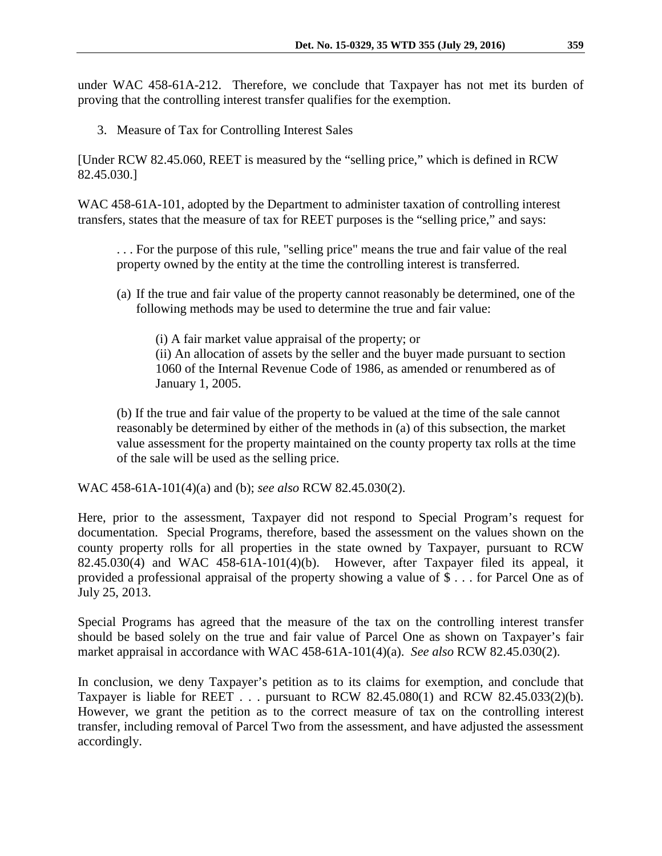under WAC 458-61A-212. Therefore, we conclude that Taxpayer has not met its burden of proving that the controlling interest transfer qualifies for the exemption.

3. Measure of Tax for Controlling Interest Sales

[Under RCW 82.45.060, REET is measured by the "selling price," which is defined in RCW 82.45.030.]

WAC 458-61A-101, adopted by the Department to administer taxation of controlling interest transfers, states that the measure of tax for REET purposes is the "selling price," and says:

. . . For the purpose of this rule, "selling price" means the true and fair value of the real property owned by the entity at the time the controlling interest is transferred.

(a) If the true and fair value of the property cannot reasonably be determined, one of the following methods may be used to determine the true and fair value:

(i) A fair market value appraisal of the property; or (ii) An allocation of assets by the seller and the buyer made pursuant to section 1060 of the Internal Revenue Code of 1986, as amended or renumbered as of January 1, 2005.

(b) If the true and fair value of the property to be valued at the time of the sale cannot reasonably be determined by either of the methods in (a) of this subsection, the market value assessment for the property maintained on the county property tax rolls at the time of the sale will be used as the selling price.

WAC 458-61A-101(4)(a) and (b); *see also* RCW 82.45.030(2).

Here, prior to the assessment, Taxpayer did not respond to Special Program's request for documentation. Special Programs, therefore, based the assessment on the values shown on the county property rolls for all properties in the state owned by Taxpayer, pursuant to RCW 82.45.030(4) and WAC 458-61A-101(4)(b). However, after Taxpayer filed its appeal, it provided a professional appraisal of the property showing a value of \$ . . . for Parcel One as of July 25, 2013.

Special Programs has agreed that the measure of the tax on the controlling interest transfer should be based solely on the true and fair value of Parcel One as shown on Taxpayer's fair market appraisal in accordance with WAC 458-61A-101(4)(a). *See also* RCW 82.45.030(2).

In conclusion, we deny Taxpayer's petition as to its claims for exemption, and conclude that Taxpayer is liable for REET . . . pursuant to RCW 82.45.080(1) and RCW 82.45.033(2)(b). However, we grant the petition as to the correct measure of tax on the controlling interest transfer, including removal of Parcel Two from the assessment, and have adjusted the assessment accordingly.